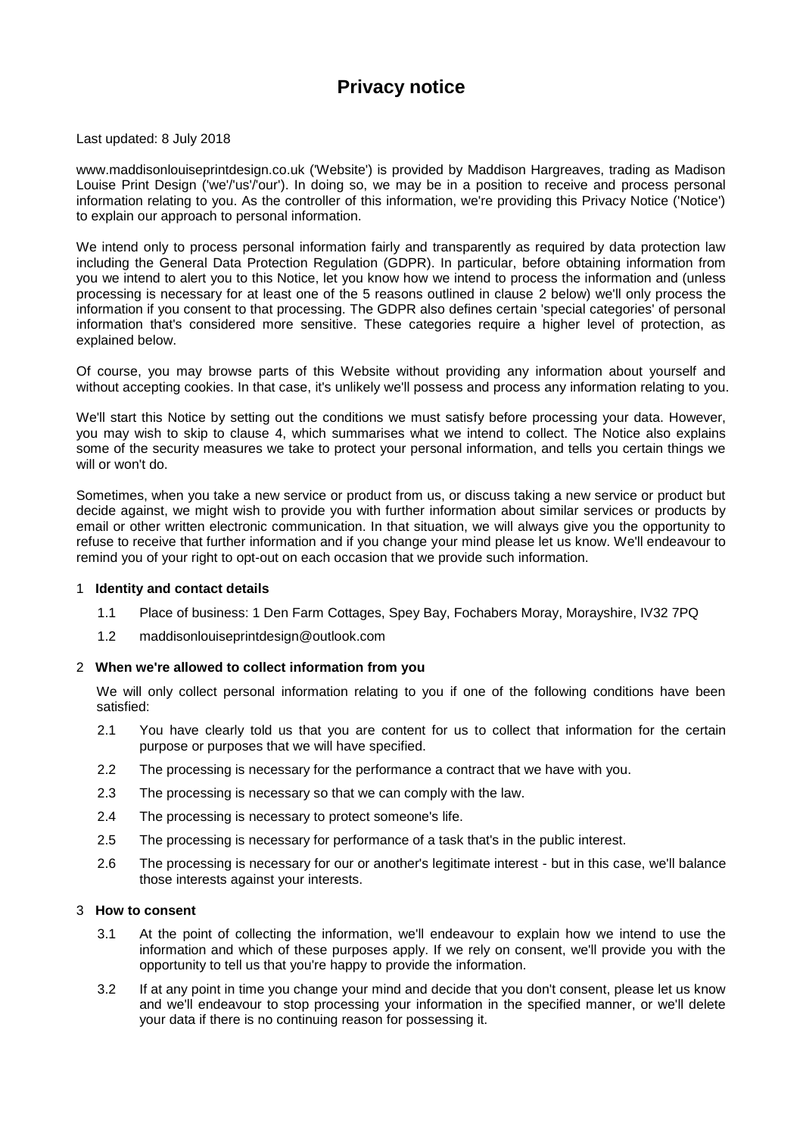# **Privacy notice**

Last updated: 8 July 2018

www.maddisonlouiseprintdesign.co.uk ('Website') is provided by Maddison Hargreaves, trading as Madison Louise Print Design ('we'/'us'/'our'). In doing so, we may be in a position to receive and process personal information relating to you. As the controller of this information, we're providing this Privacy Notice ('Notice') to explain our approach to personal information.

We intend only to process personal information fairly and transparently as required by data protection law including the General Data Protection Regulation (GDPR). In particular, before obtaining information from you we intend to alert you to this Notice, let you know how we intend to process the information and (unless processing is necessary for at least one of the 5 reasons outlined in clause [2](#page-0-0) below) we'll only process the information if you consent to that processing. The GDPR also defines certain 'special categories' of personal information that's considered more sensitive. These categories require a higher level of protection, as explained below.

Of course, you may browse parts of this Website without providing any information about yourself and without accepting cookies. In that case, it's unlikely we'll possess and process any information relating to you.

We'll start this Notice by setting out the conditions we must satisfy before processing your data. However, you may wish to skip to clause [4,](#page-1-0) which summarises what we intend to collect. The Notice also explains some of the security measures we take to protect your personal information, and tells you certain things we will or won't do.

Sometimes, when you take a new service or product from us, or discuss taking a new service or product but decide against, we might wish to provide you with further information about similar services or products by email or other written electronic communication. In that situation, we will always give you the opportunity to refuse to receive that further information and if you change your mind please let us know. We'll endeavour to remind you of your right to opt-out on each occasion that we provide such information.

#### 1 **Identity and contact details**

- 1.1 Place of business: 1 Den Farm Cottages, Spey Bay, Fochabers Moray, Morayshire, IV32 7PQ
- 1.2 maddisonlouiseprintdesign@outlook.com

# <span id="page-0-0"></span>2 **When we're allowed to collect information from you**

We will only collect personal information relating to you if one of the following conditions have been satisfied:

- 2.1 You have clearly told us that you are content for us to collect that information for the certain purpose or purposes that we will have specified.
- 2.2 The processing is necessary for the performance a contract that we have with you.
- 2.3 The processing is necessary so that we can comply with the law.
- 2.4 The processing is necessary to protect someone's life.
- 2.5 The processing is necessary for performance of a task that's in the public interest.
- 2.6 The processing is necessary for our or another's legitimate interest but in this case, we'll balance those interests against your interests.

#### 3 **How to consent**

- 3.1 At the point of collecting the information, we'll endeavour to explain how we intend to use the information and which of these purposes apply. If we rely on consent, we'll provide you with the opportunity to tell us that you're happy to provide the information.
- 3.2 If at any point in time you change your mind and decide that you don't consent, please let us know and we'll endeavour to stop processing your information in the specified manner, or we'll delete your data if there is no continuing reason for possessing it.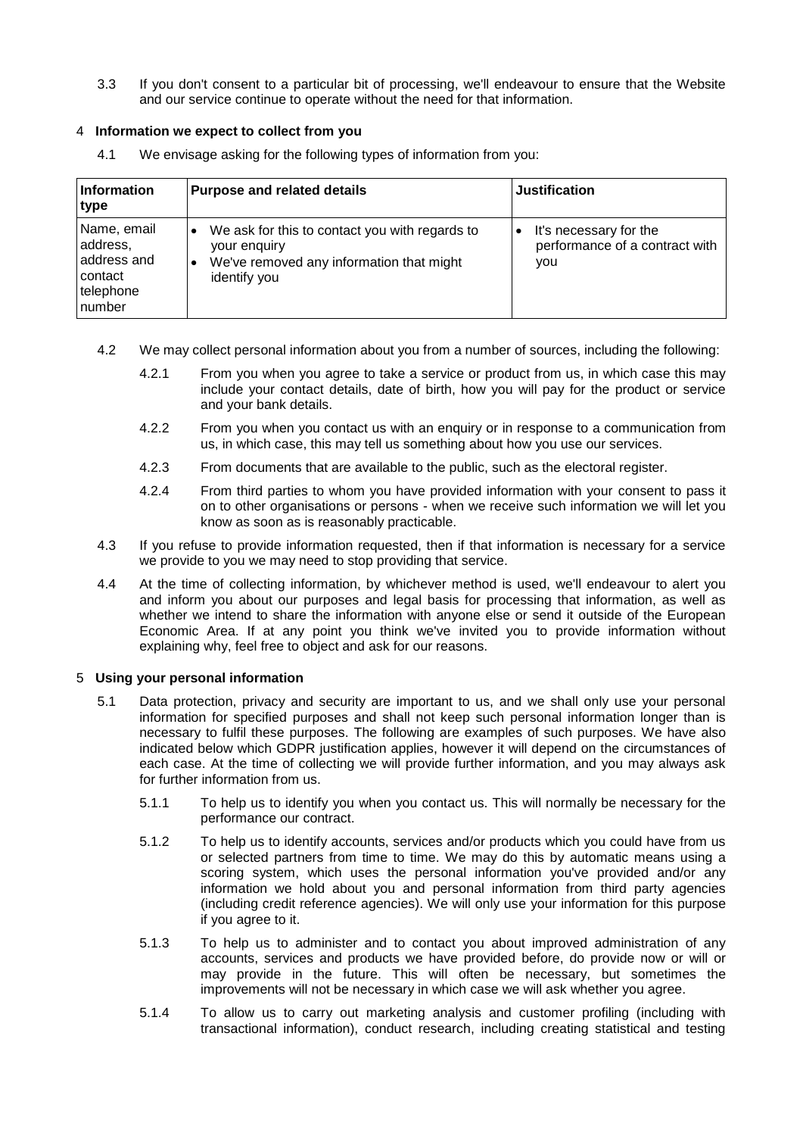3.3 If you don't consent to a particular bit of processing, we'll endeavour to ensure that the Website and our service continue to operate without the need for that information.

## <span id="page-1-0"></span>4 **Information we expect to collect from you**

4.1 We envisage asking for the following types of information from you:

| <b>Information</b><br>type                                               | <b>Purpose and related details</b>                                                                                         | <b>Justification</b>                                            |
|--------------------------------------------------------------------------|----------------------------------------------------------------------------------------------------------------------------|-----------------------------------------------------------------|
| Name, email<br>address,<br>address and<br>contact<br>telephone<br>number | We ask for this to contact you with regards to<br>your enquiry<br>We've removed any information that might<br>identify you | It's necessary for the<br>performance of a contract with<br>you |

- 4.2 We may collect personal information about you from a number of sources, including the following:
	- 4.2.1 From you when you agree to take a service or product from us, in which case this may include your contact details, date of birth, how you will pay for the product or service and your bank details.
	- 4.2.2 From you when you contact us with an enquiry or in response to a communication from us, in which case, this may tell us something about how you use our services.
	- 4.2.3 From documents that are available to the public, such as the electoral register.
	- 4.2.4 From third parties to whom you have provided information with your consent to pass it on to other organisations or persons - when we receive such information we will let you know as soon as is reasonably practicable.
- 4.3 If you refuse to provide information requested, then if that information is necessary for a service we provide to you we may need to stop providing that service.
- 4.4 At the time of collecting information, by whichever method is used, we'll endeavour to alert you and inform you about our purposes and legal basis for processing that information, as well as whether we intend to share the information with anyone else or send it outside of the European Economic Area. If at any point you think we've invited you to provide information without explaining why, feel free to object and ask for our reasons.

#### 5 **Using your personal information**

- 5.1 Data protection, privacy and security are important to us, and we shall only use your personal information for specified purposes and shall not keep such personal information longer than is necessary to fulfil these purposes. The following are examples of such purposes. We have also indicated below which GDPR justification applies, however it will depend on the circumstances of each case. At the time of collecting we will provide further information, and you may always ask for further information from us.
	- 5.1.1 To help us to identify you when you contact us. This will normally be necessary for the performance our contract.
	- 5.1.2 To help us to identify accounts, services and/or products which you could have from us or selected partners from time to time. We may do this by automatic means using a scoring system, which uses the personal information you've provided and/or any information we hold about you and personal information from third party agencies (including credit reference agencies). We will only use your information for this purpose if you agree to it.
	- 5.1.3 To help us to administer and to contact you about improved administration of any accounts, services and products we have provided before, do provide now or will or may provide in the future. This will often be necessary, but sometimes the improvements will not be necessary in which case we will ask whether you agree.
	- 5.1.4 To allow us to carry out marketing analysis and customer profiling (including with transactional information), conduct research, including creating statistical and testing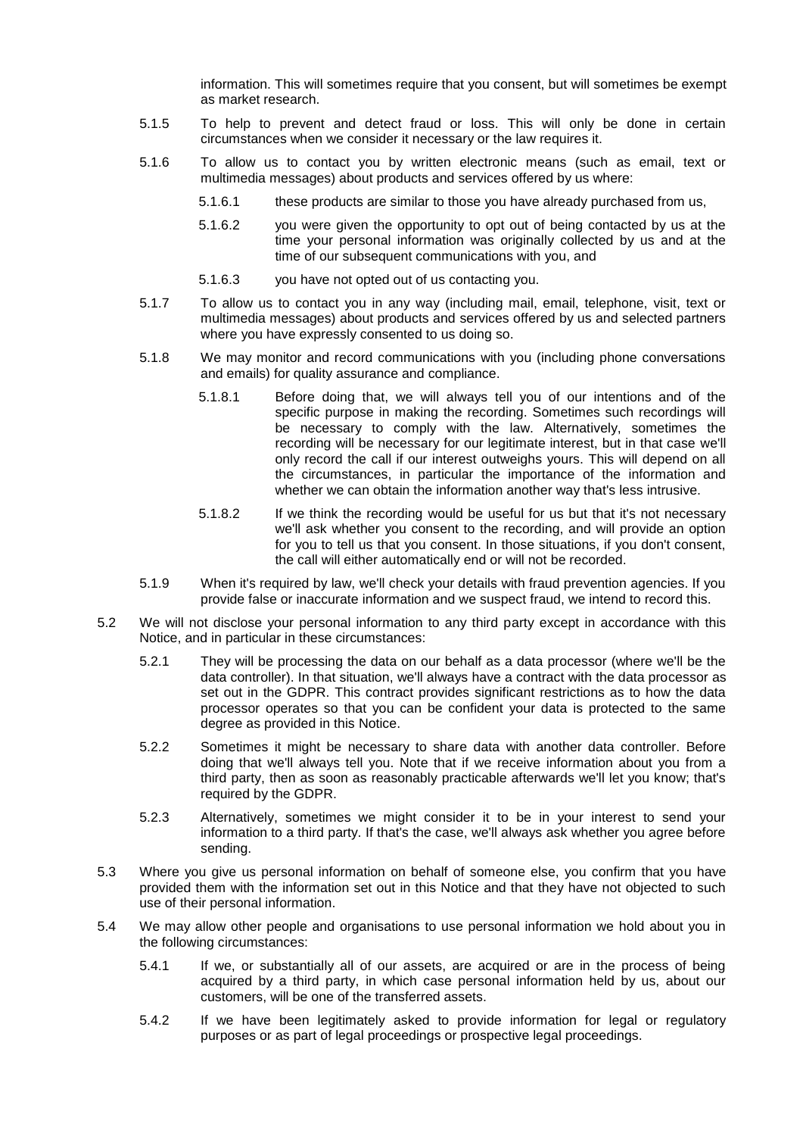information. This will sometimes require that you consent, but will sometimes be exempt as market research.

- 5.1.5 To help to prevent and detect fraud or loss. This will only be done in certain circumstances when we consider it necessary or the law requires it.
- 5.1.6 To allow us to contact you by written electronic means (such as email, text or multimedia messages) about products and services offered by us where:
	- 5.1.6.1 these products are similar to those you have already purchased from us,
	- 5.1.6.2 you were given the opportunity to opt out of being contacted by us at the time your personal information was originally collected by us and at the time of our subsequent communications with you, and
	- 5.1.6.3 you have not opted out of us contacting you.
- 5.1.7 To allow us to contact you in any way (including mail, email, telephone, visit, text or multimedia messages) about products and services offered by us and selected partners where you have expressly consented to us doing so.
- 5.1.8 We may monitor and record communications with you (including phone conversations and emails) for quality assurance and compliance.
	- 5.1.8.1 Before doing that, we will always tell you of our intentions and of the specific purpose in making the recording. Sometimes such recordings will be necessary to comply with the law. Alternatively, sometimes the recording will be necessary for our legitimate interest, but in that case we'll only record the call if our interest outweighs yours. This will depend on all the circumstances, in particular the importance of the information and whether we can obtain the information another way that's less intrusive.
	- 5.1.8.2 If we think the recording would be useful for us but that it's not necessary we'll ask whether you consent to the recording, and will provide an option for you to tell us that you consent. In those situations, if you don't consent, the call will either automatically end or will not be recorded.
- 5.1.9 When it's required by law, we'll check your details with fraud prevention agencies. If you provide false or inaccurate information and we suspect fraud, we intend to record this.
- 5.2 We will not disclose your personal information to any third party except in accordance with this Notice, and in particular in these circumstances:
	- 5.2.1 They will be processing the data on our behalf as a data processor (where we'll be the data controller). In that situation, we'll always have a contract with the data processor as set out in the GDPR. This contract provides significant restrictions as to how the data processor operates so that you can be confident your data is protected to the same degree as provided in this Notice.
	- 5.2.2 Sometimes it might be necessary to share data with another data controller. Before doing that we'll always tell you. Note that if we receive information about you from a third party, then as soon as reasonably practicable afterwards we'll let you know; that's required by the GDPR.
	- 5.2.3 Alternatively, sometimes we might consider it to be in your interest to send your information to a third party. If that's the case, we'll always ask whether you agree before sending.
- 5.3 Where you give us personal information on behalf of someone else, you confirm that you have provided them with the information set out in this Notice and that they have not objected to such use of their personal information.
- 5.4 We may allow other people and organisations to use personal information we hold about you in the following circumstances:
	- 5.4.1 If we, or substantially all of our assets, are acquired or are in the process of being acquired by a third party, in which case personal information held by us, about our customers, will be one of the transferred assets.
	- 5.4.2 If we have been legitimately asked to provide information for legal or regulatory purposes or as part of legal proceedings or prospective legal proceedings.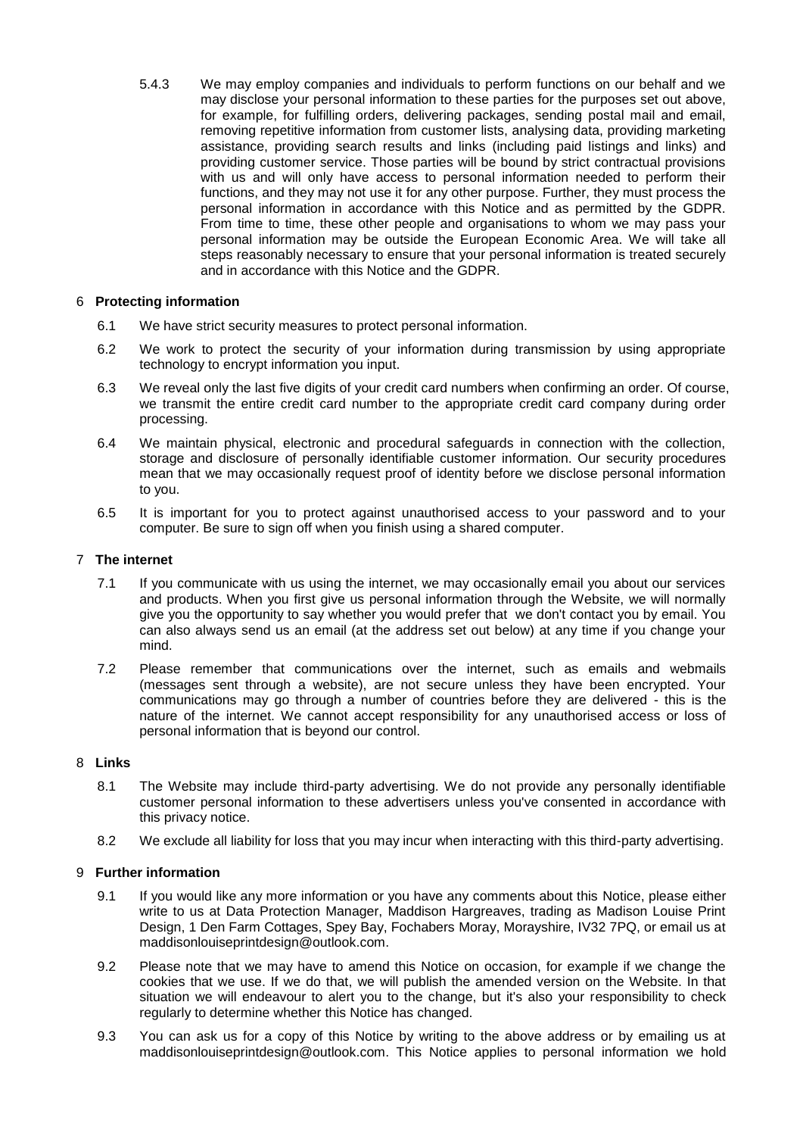5.4.3 We may employ companies and individuals to perform functions on our behalf and we may disclose your personal information to these parties for the purposes set out above, for example, for fulfilling orders, delivering packages, sending postal mail and email, removing repetitive information from customer lists, analysing data, providing marketing assistance, providing search results and links (including paid listings and links) and providing customer service. Those parties will be bound by strict contractual provisions with us and will only have access to personal information needed to perform their functions, and they may not use it for any other purpose. Further, they must process the personal information in accordance with this Notice and as permitted by the GDPR. From time to time, these other people and organisations to whom we may pass your personal information may be outside the European Economic Area. We will take all steps reasonably necessary to ensure that your personal information is treated securely and in accordance with this Notice and the GDPR.

# 6 **Protecting information**

- 6.1 We have strict security measures to protect personal information.
- 6.2 We work to protect the security of your information during transmission by using appropriate technology to encrypt information you input.
- 6.3 We reveal only the last five digits of your credit card numbers when confirming an order. Of course, we transmit the entire credit card number to the appropriate credit card company during order processing.
- 6.4 We maintain physical, electronic and procedural safeguards in connection with the collection, storage and disclosure of personally identifiable customer information. Our security procedures mean that we may occasionally request proof of identity before we disclose personal information to you.
- 6.5 It is important for you to protect against unauthorised access to your password and to your computer. Be sure to sign off when you finish using a shared computer.

### 7 **The internet**

- 7.1 If you communicate with us using the internet, we may occasionally email you about our services and products. When you first give us personal information through the Website, we will normally give you the opportunity to say whether you would prefer that we don't contact you by email. You can also always send us an email (at the address set out below) at any time if you change your mind.
- 7.2 Please remember that communications over the internet, such as emails and webmails (messages sent through a website), are not secure unless they have been encrypted. Your communications may go through a number of countries before they are delivered - this is the nature of the internet. We cannot accept responsibility for any unauthorised access or loss of personal information that is beyond our control.

# 8 **Links**

- 8.1 The Website may include third-party advertising. We do not provide any personally identifiable customer personal information to these advertisers unless you've consented in accordance with this privacy notice.
- 8.2 We exclude all liability for loss that you may incur when interacting with this third-party advertising.

# 9 **Further information**

- 9.1 If you would like any more information or you have any comments about this Notice, please either write to us at Data Protection Manager, Maddison Hargreaves, trading as Madison Louise Print Design, 1 Den Farm Cottages, Spey Bay, Fochabers Moray, Morayshire, IV32 7PQ, or email us at maddisonlouiseprintdesign@outlook.com.
- 9.2 Please note that we may have to amend this Notice on occasion, for example if we change the cookies that we use. If we do that, we will publish the amended version on the Website. In that situation we will endeavour to alert you to the change, but it's also your responsibility to check regularly to determine whether this Notice has changed.
- 9.3 You can ask us for a copy of this Notice by writing to the above address or by emailing us at maddisonlouiseprintdesign@outlook.com. This Notice applies to personal information we hold